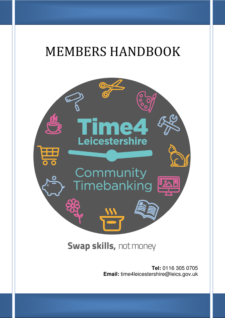# MEMBERS HANDBOOK



# Swap skills, not money

**Tel:** 0116 305 0705 **Email:** time4leicestershire@leics.gov.uk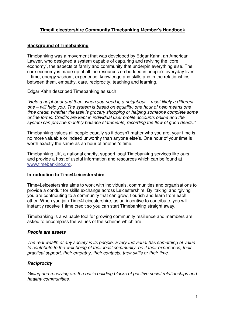# **Time4Leicestershire Community Timebanking Member's Handbook**

## **Background of Timebanking**

Timebanking was a movement that was developed by Edgar Kahn, an American Lawyer, who designed a system capable of capturing and reviving the 'core economy', the aspects of family and community that underpin everything else. The core economy is made up of all the resources embedded in people's everyday lives – time, energy wisdom, experience, knowledge and skills and in the relationships between them, empathy, care, reciprocity, teaching and learning.

Edgar Kahn described Timebanking as such:

"Help a neighbour and then, when you need it, a neighbour – most likely a different one – will help you. The system is based on equality: one hour of help means one time credit, whether the task is grocery shopping or helping someone complete some online forms. Credits are kept in individual user profile accounts online and the system can provide monthly balance statements, recording the flow of good deeds."

Timebanking values all people equally so it doesn't matter who you are, your time is no more valuable or indeed unworthy than anyone else's. One hour of your time is worth exactly the same as an hour of another's time.

Timebanking UK, a national charity, support local Timebanking services like ours and provide a host of useful information and resources which can be found at www.timebanking.org.

#### **Introduction to Time4Leicestershire**

Time4Leicestershire aims to work with individuals, communities and organisations to provide a conduit for skills exchange across Leicestershire. By 'taking' and 'giving' you are contributing to a community that can grow, flourish and learn from each other. When you join Time4Leicestershire, as an incentive to contribute, you will instantly receive 1 time credit so you can start Timebanking straight away.

Timebanking is a valuable tool for growing community resilience and members are asked to encompass the values of the scheme which are:

#### **People are assets**

The real wealth of any society is its people. Every Individual has something of value to contribute to the well-being of their local community, be it their experience, their practical support, their empathy, their contacts, their skills or their time.

#### **Reciprocity**

Giving and receiving are the basic building blocks of positive social relationships and healthy communities.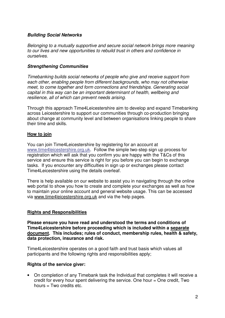#### **Building Social Networks**

Belonging to a mutually supportive and secure social network brings more meaning to our lives and new opportunities to rebuild trust in others and confidence in ourselves.

#### **Strengthening Communities**

Timebanking builds social networks of people who give and receive support from each other, enabling people from different backgrounds, who may not otherwise meet, to come together and form connections and friendships. Generating social capital in this way can be an important determinant of health, wellbeing and resilience, all of which can prevent needs arising.

Through this approach Time4Leicestershire aim to develop and expand Timebanking across Leicestershire to support our communities through co-production bringing about change at community level and between organisations linking people to share their time and skills.

#### **How to join**

You can join Time4Leicestershire by registering for an account at www.time4leicestershire.org.uk. Follow the simple two-step sign up process for registration which will ask that you confirm you are happy with the T&Cs of this service and ensure this service is right for you before you can begin to exchange tasks. If you encounter any difficulties in sign up or exchanges please contact Time4Leicestershire using the details overleaf.

There is help available on our website to assist you in navigating through the online web portal to show you how to create and complete your exchanges as well as how to maintain your online account and general website usage. This can be accessed via www.time4leicestershire.org.uk and via the help pages.

#### **Rights and Responsibilities**

**Please ensure you have read and understood the terms and conditions of Time4Leicestershire before proceeding which is included within a separate document. This includes; rules of conduct, membership rules, health & safety, data protection, insurance and risk.** 

Time4Leicestershire operates on a good faith and trust basis which values all participants and the following rights and responsibilities apply;

#### **Rights of the service giver:**

• On completion of any Timebank task the Individual that completes it will receive a credit for every hour spent delivering the service. One hour = One credit, Two hours  $=$  Two credits etc.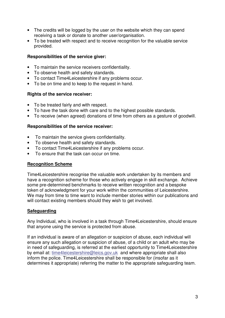- The credits will be logged by the user on the website which they can spend receiving a task or donate to another user/organisation.
- To be treated with respect and to receive recognition for the valuable service provided.

#### **Responsibilities of the service giver:**

- To maintain the service receivers confidentiality.
- To observe health and safety standards.
- To contact Time4Leicestershire if any problems occur.
- To be on time and to keep to the request in hand.

#### **Rights of the service receiver:**

- To be treated fairly and with respect.
- To have the task done with care and to the highest possible standards.
- To receive (when agreed) donations of time from others as a gesture of goodwill.

#### **Responsibilities of the service receiver:**

- To maintain the service givers confidentiality.
- To observe health and safety standards.
- To contact Time4Leicestershire if any problems occur.
- To ensure that the task can occur on time.

#### **Recognition Scheme**

Time4Leicestershire recognise the valuable work undertaken by its members and have a recognition scheme for those who actively engage in skill exchange. Achieve some pre-determined benchmarks to receive written recognition and a bespoke token of acknowledgment for your work within the communities of Leicestershire. We may from time to time want to include member stories within our publications and will contact existing members should they wish to get involved.

#### **Safeguarding**

Any Individual, who is involved in a task through Time4Leicestershire, should ensure that anyone using the service is protected from abuse.

If an individual is aware of an allegation or suspicion of abuse, each individual will ensure any such allegation or suspicion of abuse, of a child or an adult who may be in need of safeguarding, is referred at the earliest opportunity to Time4Leicestershire by email at: time4leicestershire@leics.gov.uk and where appropriate shall also inform the police. Time4Leicestershire shall be responsible for (insofar as it determines it appropriate) referring the matter to the appropriate safeguarding team.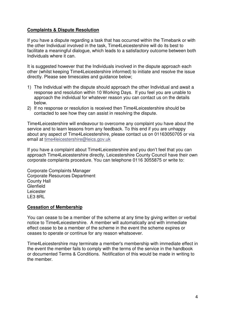### **Complaints & Dispute Resolution**

If you have a dispute regarding a task that has occurred within the Timebank or with the other Individual involved in the task, Time4Leicestershire will do its best to facilitate a meaningful dialogue, which leads to a satisfactory outcome between both Individuals where it can.

It is suggested however that the Individuals involved in the dispute approach each other (whilst keeping Time4Leicestershire informed) to initiate and resolve the issue directly. Please see timescales and guidance below;

- 1) The Individual with the dispute should approach the other Individual and await a response and resolution within 10 Working Days. If you feel you are unable to approach the individual for whatever reason you can contact us on the details below.
- 2) If no response or resolution is received then Time4Leicestershire should be contacted to see how they can assist in resolving the dispute.

Time4Leicestershire will endeavour to overcome any complaint you have about the service and to learn lessons from any feedback. To this end if you are unhappy about any aspect of Time4Leicestershire, please contact us on 01163050705 or via email at time4leicestershire@leics.gov.uk

If you have a complaint about Time4Leicestershire and you don't feel that you can approach Time4Leicestershire directly, Leicestershire County Council have their own corporate complaints procedure. You can telephone 0116 3055875 or write to:

Corporate Complaints Manager Corporate Resources Department County Hall **Glenfield Leicester** LE3 8RL

#### **Cessation of Membership**

You can cease to be a member of the scheme at any time by giving written or verbal notice to Time4Leicestershire. A member will automatically and with immediate effect cease to be a member of the scheme in the event the scheme expires or ceases to operate or continue for any reason whatsoever.

Time4Leicestershire may terminate a member's membership with immediate effect in the event the member fails to comply with the terms of the service in the handbook or documented Terms & Conditions. Notification of this would be made in writing to the member.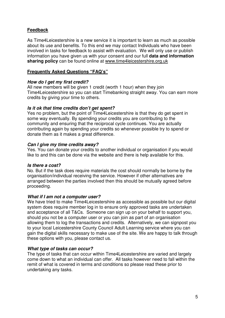# **Feedback**

As Time4Leicestershire is a new service it is important to learn as much as possible about its use and benefits. To this end we may contact Individuals who have been involved in tasks for feedback to assist with evaluation. We will only use or publish information you have given us with your consent and our full **data and information sharing policy** can be found online at www.time4leicestershire.org.uk

# **Frequently Asked Questions "FAQ's"**

#### **How do I get my first credit?**

All new members will be given 1 credit (worth 1 hour) when they join Time4Leicestershire so you can start Timebanking straight away. You can earn more credits by giving your time to others.

#### **Is it ok that time credits don't get spent?**

Yes no problem, but the point of Time4Leicestershire is that they do get spent in some way eventually. By spending your credits you are contributing to the community and ensuring that the reciprocal cycle continues. You are actually contributing again by spending your credits so whenever possible try to spend or donate them as it makes a great difference.

#### **Can I give my time credits away?**

Yes. You can donate your credits to another individual or organisation if you would like to and this can be done via the website and there is help available for this.

#### **Is there a cost?**

No. But if the task does require materials the cost should normally be borne by the organisation/individual receiving the service. However if other alternatives are arranged between the parties involved then this should be mutually agreed before proceeding.

# **What if I am not a computer user?**

We have tried to make Time4Leicestershire as accessible as possible but our digital system does require member log in to ensure only approved tasks are undertaken and acceptance of all T&Cs. Someone can sign up on your behalf to support you, should you not be a computer user or you can join as part of an organisation allowing them to log the transactions and credits. Alternatively, we can signpost you to your local Leicestershire County Council Adult Learning service where you can gain the digital skills necessary to make use of the site. We are happy to talk through these options with you, please contact us.

#### **What type of tasks can occur?**

The type of tasks that can occur within Time4Leicestershire are varied and largely come down to what an individual can offer. All tasks however need to fall within the remit of what is covered in terms and conditions so please read these prior to undertaking any tasks.